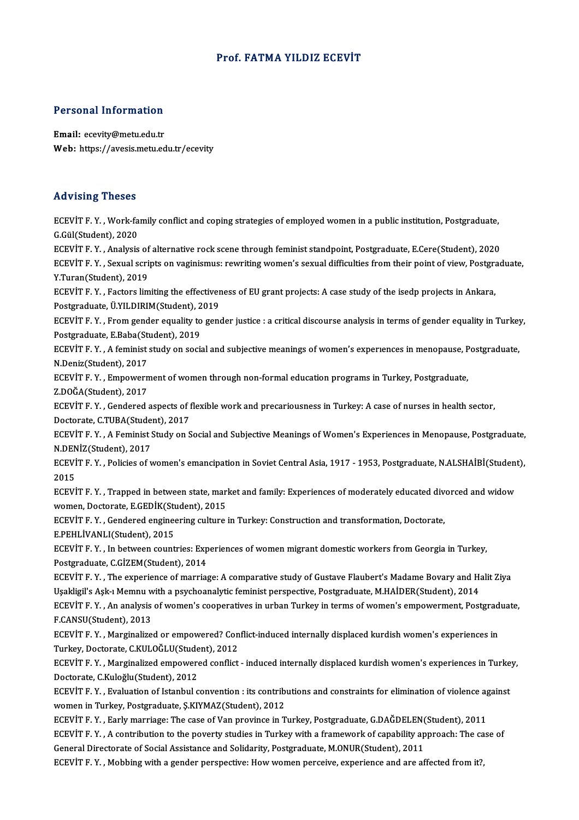## Prof. FATMA YILDIZ ECEVİT

# Personal Information

Personal Information<br>Email: ecevity@metu.edu.tr<br>Web: https://avesis.metu.ed Email: ecevity@metu.edu.tr<br>Web: https://avesis.metu.edu.tr/ecevity

#### Advising Theses

Advising Theses<br>ECEVİT F. Y. , Work-family conflict and coping strategies of employed women in a public institution, Postgraduate,<br>C.Gül(Student), 2020 ECEVIT F. Y., Work-fa<br>G.Gül(Student), 2020<br>ECEVIT E. Y., Analysis ECEVİT F. Y. , Work-family conflict and coping strategies of employed women in a public institution, Postgraduate,<br>G.Gül(Student), 2020<br>ECEVİT F. Y. , Analysis of alternative rock scene through feminist standpoint, Postgra G.Gül(Student), 2020<br>ECEVİT F. Y. , Analysis of alternative rock scene through feminist standpoint, Postgraduate, E.Cere(Student), 2020<br>ECEVİT F. Y. , Sexual scripts on vaginismus: rewriting women's sexual difficulties fro ECEVIT F. Y. , Analysis of<br>ECEVIT F. Y. , Sexual scri<br>Y.Turan(Student), 2019<br>ECEVIT E. Y. , Eastare lim ECEVİT F.Y., Sexual scripts on vaginismus: rewriting women's sexual difficulties from their point of view, Postgraduate,<br>Y.Turan(Student), 2019<br>ECEVİT F.Y., Factors limiting the effectiveness of EU grant projects: A case s ECEVIT F.Y., Factors limiting the effectiveness of EU grant projects: A case study of the isedp projects in Ankara, ECEVIT F.Y., From gender equality to gender justice : a critical discourse analysis in terms of gender equality in Turkey, Postgraduate, Ü.YILDIRIM(Student), 2<br>ECEVİT F. Y. , From gender equality to<br>Postgraduate, E.Baba(Student), 2019<br>ECEVİT E. Y. , A fominist study on socia ECEVIT F.Y., A feminist study on social and subjective meanings of women's experiences in menopause, Postgraduate,<br>N.Deniz(Student), 2017 Postgraduate, E.Baba(Str<br>ECEVIT F. Y. , A feminist<br>N.Deniz(Student), 2017<br>ECEVIT F. Y. – Emnoucan ECEVİT F. Y. , A feminist study on social and subjective meanings of women's experiences in menopause, P<br>N.Deniz(Student), 2017<br>ECEVİT F. Y. , Empowerment of women through non-formal education programs in Turkey, Postgradu N.Deniz(Student), 2017<br>ECEVİT F. Y. , Empowern<br>Z.DOĞA(Student), 2017<br>ECEVİT E. Y. , Condanad ECEVİT F. Y. , Empowerment of women through non-formal education programs in Turkey, Postgraduate,<br>Z.DOĞA(Student), 2017<br>ECEVİT F. Y. , Gendered aspects of flexible work and precariousness in Turkey: A case of nurses in he Z.DOĞA(Student), 2017<br>ECEVİT F. Y. , Gendered aspects of f<br>Doctorate, C.TUBA(Student), 2017<br>ECEVİT E. Y. , A Eominist Study on S ECEVİT F. Y. , Gendered aspects of flexible work and precariousness in Turkey: A case of nurses in health sector,<br>Doctorate, C.TUBA(Student), 2017<br>ECEVİT F. Y. , A Feminist Study on Social and Subjective Meanings of Women' Doctorate, C.TUBA(Student), 2017<br>ECEVİT F. Y. , A Feminist Study on Social and Subjective Meanings of Women's Experiences in Menopause, Postgraduate,<br>N.DENİZ(Student), 2017 ECEVİT F. Y. , A Feminist Study on Social and Subjective Meanings of Women's Experiences in Menopause, Postgraduate,<br>N.DENİZ(Student), 2017<br>ECEVİT F. Y. , Policies of women's emancipation in Soviet Central Asia, 1917 - 195 N.DEN<br>ECEVI<br>2015<br>ECEVI ECEVİT F. Y. , Policies of women's emancipation in Soviet Central Asia, 1917 - 1953, Postgraduate, N.ALSHAİBİ(Student<br>2015<br>ECEVİT F. Y. , Trapped in between state, market and family: Experiences of moderately educated divo 2015<br>ECEVİT F. Y. , Trapped in between state, mari<br>women, Doctorate, E.GEDİK(Student), 2015<br>ECEVİT E. Y., Condored engineering sulture. ECEVİT F.Y., Trapped in between state, market and family: Experiences of moderately educated divorced and widow<br>women, Doctorate, E.GEDİK(Student), 2015<br>ECEVİT F.Y., Gendered engineering culture in Turkey: Construction and Women, Doctorate, E.GEDİK(St.<br>ECEVİT F. Y. , Gendered engine<br>E.PEHLİVANLI(Student), 2015<br>ECEVİT E. Y. , In batyaan seynt ECEVİT F. Y. , Gendered engineering culture in Turkey: Construction and transformation, Doctorate,<br>E.PEHLİVANLI(Student), 2015<br>ECEVİT F. Y. , In between countries: Experiences of women migrant domestic workers from Georgia E.PEHLİVANLI(Student), 2015<br>ECEVİT F. Y. , In between countries: Exp<br>Postgraduate, C.GİZEM(Student), 2014<br>ECEVİT E. Y. , The experience of merries ECEVİT F. Y. , In between countries: Experiences of women migrant domestic workers from Georgia in Turkey,<br>Postgraduate, C.GİZEM(Student), 2014<br>ECEVİT F. Y. , The experience of marriage: A comparative study of Gustave Flau Postgraduate, C.GİZEM(Student), 2014<br>ECEVİT F. Y. , The experience of marriage: A comparative study of Gustave Flaubert's Madame Bovary and Halit Ziya ECEVIT F.Y., An analysis of women's cooperatives in urban Turkey in terms of women's empowerment, Postgraduate,<br>F.CANSU(Student), 2013 Usakligil's Ask-ı Memnu with a psychoanalytic feminist perspective, Postgraduate, M.HAİDER(Student), 2014 ECEVİT F. Y. , An analysis of women's cooperatives in urban Turkey in terms of women's empowerment, Postgrad<br>F.CANSU(Student), 2013<br>ECEVİT F. Y. , Marginalized or empowered? Conflict-induced internally displaced kurdish wo F.CANSU(Student), 2013<br>ECEVİT F. Y. , Marginalized or empowered? Con<br>Turkey, Doctorate, C.KULOĞLU(Student), 2012<br>ECEVİT E. Y., Marginalized empowered senflist ECEVİT F. Y. , Marginalized or empowered? Conflict-induced internally displaced kurdish women's experiences in<br>Turkey, Doctorate, C.KULOĞLU(Student), 2012<br>ECEVİT F. Y. , Marginalized empowered conflict - induced internally Turkey, Doctorate, C.KULOĞLU(Student), 2012<br>ECEVİT F. Y. , Marginalized empowered conflict - induced internally displaced kurdish women's experiences in Turke<br>Doctorate, C.Kuloğlu(Student), 2012<br>ECEVİT F. Y. , Evaluation o ECEVIT F.Y., Marginalized empowered conflict - induced internally displaced kurdish women's experiences in Turkey, women in Turkey, Postgraduate, Ş.KIYMAZ(Student), 2012 ECEVİT F. Y. , Evaluation of Istanbul convention : its contributions and constraints for elimination of violence ag<br>women in Turkey, Postgraduate, Ş.KIYMAZ(Student), 2012<br>ECEVİT F. Y. , Early marriage: The case of Van prov women in Turkey, Postgraduate, Ş.KIYMAZ(Student), 2012<br>ECEVİT F. Y. , Early marriage: The case of Van province in Turkey, Postgraduate, G.DAĞDELEN(Student), 2011<br>ECEVİT F. Y. , A contribution to the poverty studies in Turk ECEVİT F. Y. , Early marriage: The case of Van province in Turkey, Postgraduate, G.DAĞDELEN(<br>ECEVİT F. Y. , A contribution to the poverty studies in Turkey with a framework of capability ap<br>General Directorate of Social As ECEVİT F. Y. , A contribution to the poverty studies in Turkey with a framework of capability approach: The case of<br>General Directorate of Social Assistance and Solidarity, Postgraduate, M.ONUR(Student), 2011<br>ECEVİT F. Y.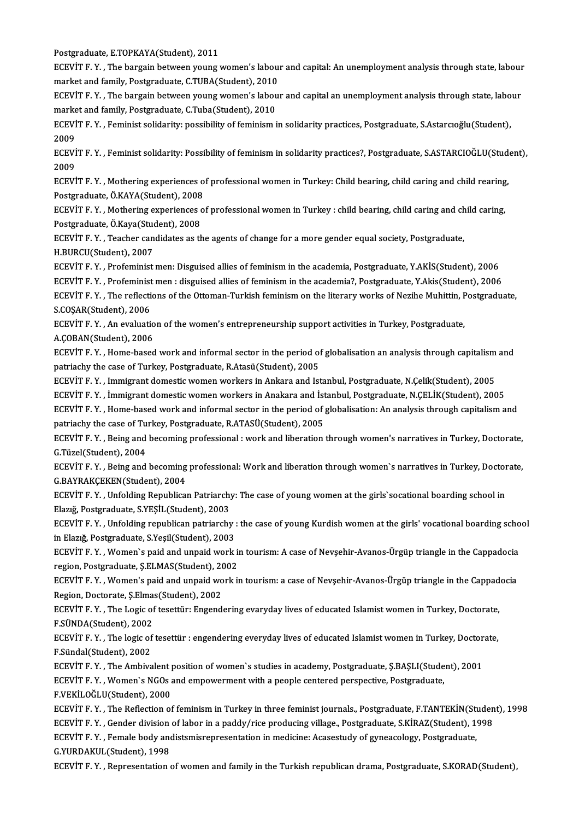Postgraduate, E.TOPKAYA(Student), 2011

Postgraduate, E.TOPKAYA(Student), 2011<br>ECEVİT F. Y. , The bargain between young women's labour and capital: An unemployment analysis through state, labour<br>market and family, Pestsreduate, C.TUPA(Student), 2010 Postgraduate, E.TOPKAYA(Student), 2011<br>ECEVİT F. Y. , The bargain between young women's labou<br>market and family, Postgraduate, C.TUBA(Student), 2010<br>ECEVİT E. Y. ...The bargain between young wemen's labou ECEVİT F. Y. , The bargain between young women's labour and capital: An unemployment analysis through state, labour<br>market and family, Postgraduate, C.TUBA(Student), 2010<br>ECEVİT F. Y. , The bargain between young women's la

market and family, Postgraduate, C.TUBA(Student), 2010<br>ECEVİT F. Y. , The bargain between young women's labou<br>market and family, Postgraduate, C.Tuba(Student), 2010<br>ECEVİT E. Y. - Eominist seliderity: possibility of fomini ECEVİT F. Y. , The bargain between young women's labour and capital an unemployment analysis through state, labo<br>market and family, Postgraduate, C.Tuba(Student), 2010<br>ECEVİT F. Y. , Feminist solidarity: possibility of fem

market and family, Postgraduate, C.Tuba(Student), 2010<br>ECEVİT F. Y. , Feminist solidarity: possibility of feminism<br>2009 ECEVİT F.Y. , Feminist solidarity: possibility of feminism in solidarity practices, Postgraduate, S.Astarcıoğlu(Student),<br>2009<br>ECEVİT F.Y. , Feminist solidarity: Possibility of feminism in solidarity practices?, Postgradua

ECEVIT F.Y., Feminist solidarity: Possibility of feminism in solidarity practices?, Postgraduate, S.ASTARCIOGLU(Student), ECEVİT F. Y. , Feminist solidarity: Possibility of feminism in solidarity practices?, Postgraduate, S.ASTARCIOĞLU(Stud<br>2009<br>ECEVİT F. Y. , Mothering experiences of professional women in Turkey: Child bearing, child caring

2009<br>ECEVİT F. Y. , Mothering experiences o<br>Postgraduate, Ö.KAYA(Student), 2008<br>ECEVİT E. Y. - Mothoring experiences o ECEVİT F. Y. , Mothering experiences of professional women in Turkey: Child bearing, child caring and child rearing<br>Postgraduate, Ö.KAYA(Student), 2008<br>ECEVİT F. Y. , Mothering experiences of professional women in Turkey :

Postgraduate, Ö.KAYA(Student), 2008<br>ECEVİT F. Y. , Mothering experiences of professional women in Turkey : child bearing, child caring and child caring,<br>Postgraduate, Ö.Kaya(Student), 2008 ECEVİT F. Y. , Mothering experiences of professional women in Turkey : child bearing, child caring and ch<br>Postgraduate, Ö.Kaya(Student), 2008<br>ECEVİT F. Y. , Teacher candidates as the agents of change for a more gender equa

Postgraduate, Ö.Kaya(Stud<br>ECEVİT F. Y. , Teacher can<br>H.BURCU(Student), 2007<br>ECEVİT E. Y. , Profominist ECEVİT F. Y. , Teacher candidates as the agents of change for a more gender equal society, Postgraduate,<br>H.BURCU(Student), 2007<br>ECEVİT F. Y. , Profeminist men: Disguised allies of feminism in the academia, Postgraduate, Y.

H.BURCU(Student), 2007<br>ECEVİT F. Y. , Profeminist men: Disguised allies of feminism in the academia, Postgraduate, Y.AKİS(Student), 2006<br>ECEVİT F. Y. , Profeminist men : disguised allies of feminism in the academia?, Postg

ECEVİT F. Y. , Profeminist men: Disguised allies of feminism in the academia, Postgraduate, Y.AKİS(Student), 2006<br>ECEVİT F. Y. , Profeminist men : disguised allies of feminism in the academia?, Postgraduate, Y.Akis(Student ECEVIT F. Y. , Profeminist<br>ECEVIT F. Y. , The reflecti<br>S.COŞAR(Student), 2006<br>ECEVIT E. Y. . An evolucti ECEVİT F. Y. , The reflections of the Ottoman-Turkish feminism on the literary works of Nezihe Muhittin, F<br>S.COŞAR(Student), 2006<br>ECEVİT F. Y. , An evaluation of the women's entrepreneurship support activities in Turkey, P

S.COŞAR(Student), 2006<br>ECEVİT F. Y. , An evaluatio<br>A.ÇOBAN(Student), 2006<br>ECEVİT E. Y. Home based ECEVİT F. Y. , An evaluation of the women's entrepreneurship support activities in Turkey, Postgraduate,<br>A.ÇOBAN(Student), 2006<br>ECEVİT F. Y. , Home-based work and informal sector in the period of globalisation an analysis

A.ÇOBAN(Student), 2006<br>ECEVİT F. Y. , Home-based work and informal sector in the period of globalisation an analysis through capitalism and<br>patriachy the case of Turkey, Postgraduate, R.Atasü(Student), 2005

ECEVİT F.Y., Immigrant domestic women workers in Ankara and Istanbul, Postgraduate, N.Çelik(Student), 2005

patriachy the case of Turkey, Postgraduate, R.Atasü(Student), 2005<br>ECEVİT F. Y. , Immigrant domestic women workers in Ankara and Istanbul, Postgraduate, N.Çelik(Student), 2005<br>ECEVİT F. Y. , İmmigrant domestic women worker

ECEVİT F.Y. , Home-based work and informal sector in the period of globalisation: An analysis through capitalism and<br>patriachy the case of Turkey, Postgraduate, R.ATASÜ(Student), 2005 ECEVİT F. Y. , İmmigrant domestic women workers in Anakara and İst<br>ECEVİT F. Y. , Home-based work and informal sector in the period of<br>patriachy the case of Turkey, Postgraduate, R.ATASÜ(Student), 2005<br>ECEVİT E. Y. , Being ECEVİT F. Y. , Home-based work and informal sector in the period of globalisation: An analysis through capitalism and<br>patriachy the case of Turkey, Postgraduate, R.ATASÜ(Student), 2005<br>ECEVİT F. Y. , Being and becoming pro

patriachy the case of Tu<br>ECEVİT F. Y. , Being and<br>G.Tüzel(Student), 2004<br>ECEVİT E. Y. - Being and ECEVİT F. Y. , Being and becoming professional : work and liberation through women's narratives in Turkey, Doctorate,<br>G.Tüzel(Student), 2004<br>ECEVİT F. Y. , Being and becoming professional: Work and liberation through women

G.Tüzel(Student), 2004<br>ECEVİT F. Y. , Being and becoming<br>G.BAYRAKÇEKEN(Student), 2004<br>ECEVİT E. V., Unfolding Bopublisa ECEVİT F. Y. , Being and becoming professional: Work and liberation through women`s narratives in Turkey, Doctor<br>G.BAYRAKÇEKEN(Student), 2004<br>ECEVİT F. Y. , Unfolding Republican Patriarchy: The case of young women at the g

G.BAYRAKÇEKEN(Student), 2004<br>ECEVİT F. Y. , Unfolding Republican Patriarchy<br>Elazığ, Postgraduate, S.YEŞİL(Student), 2003<br>ECEVİT E. Y., Unfolding republican patriarchy ECEVİT F.Y. , Unfolding Republican Patriarchy: The case of young women at the girls`socational boarding school in<br>Elazığ, Postgraduate, S.YEŞİL(Student), 2003<br>ECEVİT F.Y. , Unfolding republican patriarchy : the case of you

Elazığ, Postgraduate, S.YEŞİL(Student), 2003<br>ECEVİT F. Y. , Unfolding republican patriarchy :<br>in Elazığ, Postgraduate, S.Yeşil(Student), 2003<br>ECEVİT E. Y. - Women's paid and unpaid work i ECEVİT F. Y. , Unfolding republican patriarchy : the case of young Kurdish women at the girls' vocational boarding scho<br>in Elazığ, Postgraduate, S.Yeşil(Student), 2003<br>ECEVİT F. Y. , Women`s paid and unpaid work in tourism

in Elazığ, Postgraduate, S.Yeşil(Student), 2003<br>ECEVİT F. Y. , Women`s paid and unpaid work in tourism: A case of Nevşehir-Avanos-Ürgüp triangle in the Cappadocia<br>region, Postgraduate, Ş.ELMAS(Student), 2002 ECEVİT F. Y. , Women`s paid and unpaid work in tourism: A case of Nevşehir-Avanos-Ürgüp triangle in the Cappadocia<br>region, Postgraduate, Ş.ELMAS(Student), 2002<br>ECEVİT F. Y. , Women's paid and unpaid work in tourism: a case

region, Postgraduate, Ş.ELMAS(Student), 2003<br>ECEVİT F. Y. , Women's paid and unpaid wo<br>Region, Doctorate, Ş.Elmas(Student), 2002<br>ECEVİT E. Y. - The Logis of tesettüru Engend ECEVİT F. Y. , Women's paid and unpaid work in tourism: a case of Nevşehir-Avanos-Ürgüp triangle in the Cappad<br>Region, Doctorate, Ş.Elmas(Student), 2002<br>ECEVİT F. Y. , The Logic of tesettür: Engendering evaryday lives of e

Region, Doctorate, Ş.Elmas(Student), 2002<br>ECEVİT F. Y. , The Logic of tesettür: Engendering evaryday lives of educated Islamist women in Turkey, Doctorate,<br>F.SÜNDA(Student), 2002 ECEVİT F. Y. , The Logic of tesettür: Engendering evaryday lives of educated Islamist women in Turkey, Doctorate,<br>F.SÜNDA(Student), 2002<br>ECEVİT F. Y. , The logic of tesettür : engendering everyday lives of educated Islamis

F.SÜNDA(Student), 2002<br>ECEVİT F. Y. , The logic of<br>F.Sündal(Student), 2002<br>ECEVİT E. Y. The Ambiya ECEVİT F. Y. , The logic of tesettür : engendering everyday lives of educated Islamist women in Turkey, Doctor<br>F.Sündal(Student), 2002<br>ECEVİT F. Y. , The Ambivalent position of women`s studies in academy, Postgraduate, Ş.B F.Sündal(Student), 2002<br>ECEVİT F. Y. , The Ambivalent position of women`s studies in academy, Postgraduate, Ş.BAŞLI(Stude<br>ECEVİT F. Y. , Women`s NGOs and empowerment with a people centered perspective, Postgraduate,<br>E.VEKİ

ECEVİT F. Y. , The Ambivalent p<br>ECEVİT F. Y. , Women`s NGOs a<br>F.VEKİLOĞLU(Student), 2000<br>ECEVİT E. Y. , The Beflection of

ECEVİT F. Y. , Women`s NGOs and empowerment with a people centered perspective, Postgraduate,<br>F.VEKİLOĞLU(Student), 2000<br>ECEVİT F. Y. , The Reflection of feminism in Turkey in three feminist journals., Postgraduate, F.TANT F.VEKİLOĞLU(Student), 2000<br>ECEVİT F. Y. , The Reflection of feminism in Turkey in three feminist journals., Postgraduate, F.TANTEKİN(Studen<br>ECEVİT F. Y. , Gender division of labor in a paddy/rice producing village., Postgr ECEVİT F. Y. , The Reflection of feminism in Turkey in three feminist journals., Postgraduate, F.TANTEKİN(Sti<br>ECEVİT F. Y. , Gender division of labor in a paddy/rice producing village., Postgraduate, S.KİRAZ(Student), 1<br>EC ECEVIT F. Y. , Gender division<br>ECEVIT F. Y. , Female body and<br>G.YURDAKUL(Student), 1998<br>ECEVIT F. Y. , Pennesentation

ECEVİT F. Y. , Female body andistsmisrepresentation in medicine: Acasestudy of gyneacology, Postgraduate,<br>G.YURDAKUL(Student), 1998<br>ECEVİT F. Y. , Representation of women and family in the Turkish republican drama, Postgra